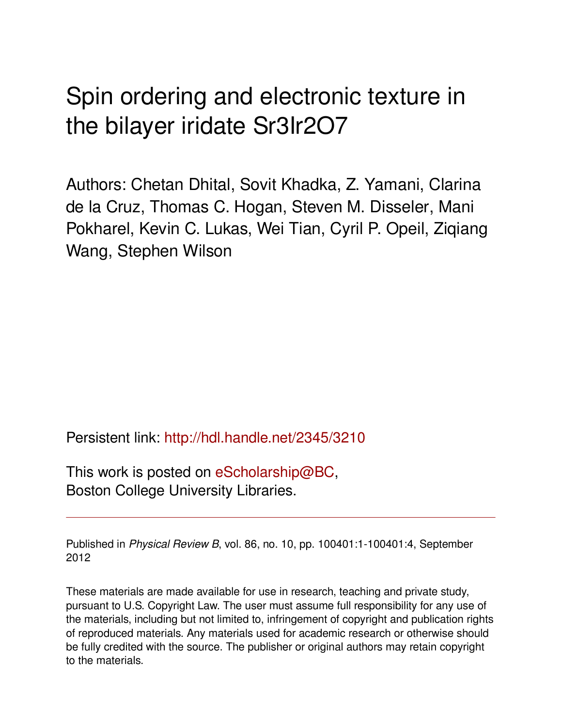## Spin ordering and electronic texture in the bilayer iridate Sr3Ir2O7

Authors: Chetan Dhital, Sovit Khadka, Z. Yamani, Clarina de la Cruz, Thomas C. Hogan, Steven M. Disseler, Mani Pokharel, Kevin C. Lukas, Wei Tian, Cyril P. Opeil, Ziqiang Wang, Stephen Wilson

Persistent link: <http://hdl.handle.net/2345/3210>

This work is posted on [eScholarship@BC](http://escholarship.bc.edu), Boston College University Libraries.

Published in *Physical Review B*, vol. 86, no. 10, pp. 100401:1-100401:4, September 2012

These materials are made available for use in research, teaching and private study, pursuant to U.S. Copyright Law. The user must assume full responsibility for any use of the materials, including but not limited to, infringement of copyright and publication rights of reproduced materials. Any materials used for academic research or otherwise should be fully credited with the source. The publisher or original authors may retain copyright to the materials.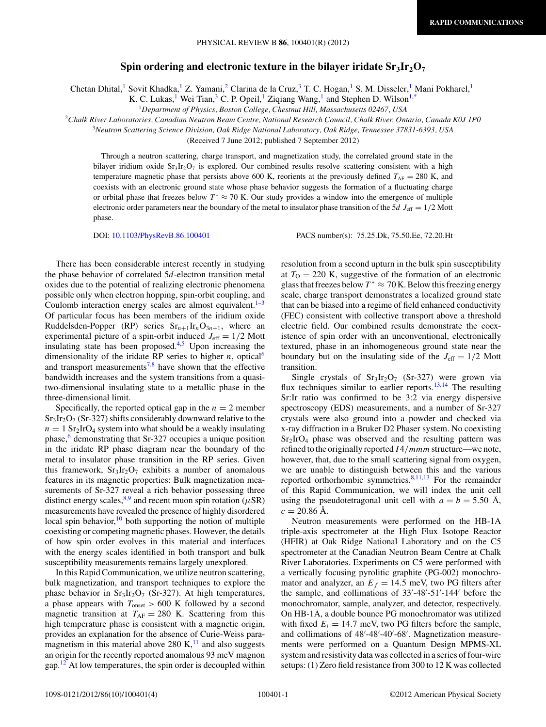## **Spin ordering and electronic texture in the bilayer iridate Sr<sub>3</sub>Ir<sub>2</sub>O<sub>7</sub>**

Chetan Dhital,<sup>1</sup> Sovit Khadka,<sup>1</sup> Z. Yamani,<sup>2</sup> Clarina de la Cruz,<sup>3</sup> T. C. Hogan,<sup>1</sup> S. M. Disseler,<sup>1</sup> Mani Pokharel,<sup>1</sup>

K. C. Lukas,<sup>1</sup> Wei Tian,<sup>3</sup> C. P. Opeil,<sup>1</sup> Ziqiang Wang,<sup>1</sup> and Stephen D. Wilson<sup>1[,\\*](#page-4-0)</sup>

<sup>1</sup>*Department of Physics, Boston College, Chestnut Hill, Massachusetts 02467, USA*

<sup>2</sup>*Chalk River Laboratories, Canadian Neutron Beam Centre, National Research Council, Chalk River, Ontario, Canada K0J 1P0*

<sup>3</sup>*Neutron Scattering Science Division, Oak Ridge National Laboratory, Oak Ridge, Tennessee 37831-6393, USA*

(Received 7 June 2012; published 7 September 2012)

Through a neutron scattering, charge transport, and magnetization study, the correlated ground state in the bilayer iridium oxide  $Sr_3Ir_2O_7$  is explored. Our combined results resolve scattering consistent with a high temperature magnetic phase that persists above 600 K, reorients at the previously defined  $T_{AF} = 280$  K, and coexists with an electronic ground state whose phase behavior suggests the formation of a fluctuating charge or orbital phase that freezes below  $T^* \approx 70$  K. Our study provides a window into the emergence of multiple electronic order parameters near the boundary of the metal to insulator phase transition of the 5*d J*<sub>eff</sub> =  $1/2$  Mott phase.

DOI: [10.1103/PhysRevB.86.100401](http://dx.doi.org/10.1103/PhysRevB.86.100401) PACS number(s): 75*.*25*.*Dk, 75*.*50*.*Ee, 72*.*20*.*Ht

There has been considerable interest recently in studying the phase behavior of correlated 5*d*-electron transition metal oxides due to the potential of realizing electronic phenomena possible only when electron hopping, spin-orbit coupling, and Coulomb interaction energy scales are almost equivalent. $1-3$ Of particular focus has been members of the iridium oxide Ruddelsden-Popper (RP) series  $Sr_{n+1}Ir_nO_{3n+1}$ , where an experimental picture of a spin-orbit induced  $J_{\text{eff}} = 1/2$  Mott insulating state has been proposed. $4,5$  Upon increasing the dimensionality of the iridate RP series to higher  $n$ , optical<sup>[6](#page-4-0)</sup> and transport measurements<sup>[7,8](#page-4-0)</sup> have shown that the effective bandwidth increases and the system transitions from a quasitwo-dimensional insulating state to a metallic phase in the three-dimensional limit.

Specifically, the reported optical gap in the  $n = 2$  member  $Sr<sub>3</sub>Ir<sub>2</sub>O<sub>7</sub>$  (Sr-327) shifts considerably downward relative to the  $n = 1$  Sr<sub>2</sub>IrO<sub>4</sub> system into what should be a weakly insulating phase, $6$  demonstrating that Sr-327 occupies a unique position in the iridate RP phase diagram near the boundary of the metal to insulator phase transition in the RP series. Given this framework,  $Sr<sub>3</sub>Ir<sub>2</sub>O<sub>7</sub>$  exhibits a number of anomalous features in its magnetic properties: Bulk magnetization measurements of Sr-327 reveal a rich behavior possessing three distinct energy scales,  $8.9$  and recent muon spin rotation ( $\mu$ SR) measurements have revealed the presence of highly disordered local spin behavior, $10$  both supporting the notion of multiple coexisting or competing magnetic phases. However, the details of how spin order evolves in this material and interfaces with the energy scales identified in both transport and bulk susceptibility measurements remains largely unexplored.

In this Rapid Communication, we utilize neutron scattering, bulk magnetization, and transport techniques to explore the phase behavior in  $Sr<sub>3</sub>Ir<sub>2</sub>O<sub>7</sub>$  (Sr-327). At high temperatures, a phase appears with  $T_{\text{onset}} > 600 \text{ K}$  followed by a second magnetic transition at  $T_{AF} = 280$  K. Scattering from this high temperature phase is consistent with a magnetic origin, provides an explanation for the absence of Curie-Weiss paramagnetism in this material above 280 K, $^{11}$  $^{11}$  $^{11}$  and also suggests an origin for the recently reported anomalous 93 meV magnon gap. $12$  At low temperatures, the spin order is decoupled within resolution from a second upturn in the bulk spin susceptibility at  $T<sub>O</sub> = 220$  K, suggestive of the formation of an electronic glass that freezes below  $T^* \approx 70$  K. Below this freezing energy scale, charge transport demonstrates a localized ground state that can be biased into a regime of field enhanced conductivity (FEC) consistent with collective transport above a threshold electric field. Our combined results demonstrate the coexistence of spin order with an unconventional, electronically textured, phase in an inhomogeneous ground state near the boundary but on the insulating side of the  $J_{\text{eff}} = 1/2$  Mott transition.

Single crystals of  $Sr<sub>3</sub>Ir<sub>2</sub>O<sub>7</sub>$  (Sr-327) were grown via flux techniques similar to earlier reports.<sup>13,14</sup> The resulting Sr:Ir ratio was confirmed to be 3:2 via energy dispersive spectroscopy (EDS) measurements, and a number of Sr-327 crystals were also ground into a powder and checked via x-ray diffraction in a Bruker D2 Phaser system. No coexisting  $Sr<sub>2</sub>IrO<sub>4</sub>$  phase was observed and the resulting pattern was refined to the originally reported *I*4*/mmm*structure—we note, however, that, due to the small scattering signal from oxygen, we are unable to distinguish between this and the various reported orthorhombic symmetries.<sup>[8,11,13](#page-4-0)</sup> For the remainder of this Rapid Communication, we will index the unit cell using the pseudotetragonal unit cell with  $a = b = 5.50 \text{ Å}$ ,  $c = 20.86$  Å.

Neutron measurements were performed on the HB-1A triple-axis spectrometer at the High Flux Isotope Reactor (HFIR) at Oak Ridge National Laboratory and on the C5 spectrometer at the Canadian Neutron Beam Centre at Chalk River Laboratories. Experiments on C5 were performed with a vertically focusing pyrolitic graphite (PG-002) monochromator and analyzer, an  $E_f = 14.5$  meV, two PG filters after the sample, and collimations of  $33'$ -48'-51'-144' before the monochromator, sample, analyzer, and detector, respectively. On HB-1A, a double bounce PG monochromator was utilized with fixed  $E_i = 14.7$  meV, two PG filters before the sample, and collimations of 48'-48'-40'-68'. Magnetization measurements were performed on a Quantum Design MPMS-XL system and resistivity data was collected in a series of four-wire setups: (1) Zero field resistance from 300 to 12 K was collected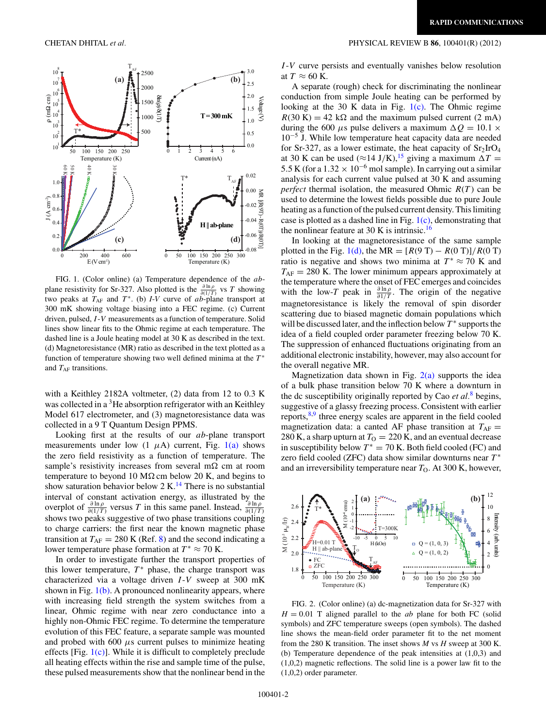

FIG. 1. (Color online) (a) Temperature dependence of the *ab*plane resistivity for Sr-327. Also plotted is the  $\frac{\partial \ln \rho}{\partial (1/T)}$  vs *T* showing two peaks at  $T_{AF}$  and  $T^*$ . (b) *I-V* curve of  $ab$ -plane transport at 300 mK showing voltage biasing into a FEC regime. (c) Current driven, pulsed, *I* -*V* measurements as a function of temperature. Solid lines show linear fits to the Ohmic regime at each temperature. The dashed line is a Joule heating model at 30 K as described in the text. (d) Magnetoresistance (MR) ratio as described in the text plotted as a function of temperature showing two well defined minima at the  $T^*$ and *T*<sub>AF</sub> transitions.

with a Keithley 2182A voltmeter, (2) data from 12 to 0.3 K was collected in a  ${}^{3}$ He absorption refrigerator with an Keithley Model 617 electrometer, and (3) magnetoresistance data was collected in a 9 T Quantum Design PPMS.

Looking first at the results of our *ab*-plane transport measurements under low  $(1 \mu A)$  current, Fig.  $1(a)$  shows the zero field resistivity as a function of temperature. The sample's resistivity increases from several m $\Omega$  cm at room temperature to beyond 10 M $\Omega$  cm below 20 K, and begins to show saturation behavior below  $2 K<sup>14</sup>$  $2 K<sup>14</sup>$  $2 K<sup>14</sup>$  There is no substantial interval of constant activation energy, as illustrated by the overplot of  $\frac{\partial \ln \rho}{\partial (1/T)}$  versus *T* in this same panel. Instead,  $\frac{\partial \ln \rho}{\partial (1/T)}$ shows two peaks suggestive of two phase transitions coupling to charge carriers: the first near the known magnetic phase transition at  $T_{AF} = 280$  K (Ref. [8\)](#page-4-0) and the second indicating a lower temperature phase formation at  $T^* \approx 70$  K.

In order to investigate further the transport properties of this lower temperature,  $T^*$  phase, the charge transport was characterized via a voltage driven *I* -*V* sweep at 300 mK shown in Fig.  $1(b)$ . A pronounced nonlinearity appears, where with increasing field strength the system switches from a linear, Ohmic regime with near zero conductance into a highly non-Ohmic FEC regime. To determine the temperature evolution of this FEC feature, a separate sample was mounted and probed with 600  $\mu$ s current pulses to minimize heating effects [Fig.  $1(c)$ ]. While it is difficult to completely preclude all heating effects within the rise and sample time of the pulse, these pulsed measurements show that the nonlinear bend in the

## <span id="page-2-0"></span>CHETAN DHITAL *et al.* PHYSICAL REVIEW B **86**, 100401(R) (2012)

*I* -*V* curve persists and eventually vanishes below resolution at  $T \approx 60$  K.

A separate (rough) check for discriminating the nonlinear conduction from simple Joule heating can be performed by looking at the 30 K data in Fig.  $1(c)$ . The Ohmic regime  $R(30 \text{ K}) = 42 \text{ k}\Omega$  and the maximum pulsed current (2 mA) during the 600  $\mu$ s pulse delivers a maximum  $\Delta Q = 10.1 \times$ 10−<sup>5</sup> J. While low temperature heat capacity data are needed for Sr-327, as a lower estimate, the heat capacity of  $Sr<sub>2</sub>IrO<sub>4</sub>$ at 30 K can be used ( $\approx$ 14 J/K),<sup>[15](#page-4-0)</sup> giving a maximum  $\Delta T =$ 5.5 K (for a  $1.32 \times 10^{-6}$  mol sample). In carrying out a similar analysis for each current value pulsed at 30 K and assuming *perfect* thermal isolation, the measured Ohmic  $R(T)$  can be used to determine the lowest fields possible due to pure Joule heating as a function of the pulsed current density. This limiting case is plotted as a dashed line in Fig.  $1(c)$ , demonstrating that the nonlinear feature at 30 K is intrinsic.<sup>[16](#page-4-0)</sup>

In looking at the magnetoresistance of the same sample plotted in the Fig. 1(d), the MR =  $[R(9 T) - R(0 T)]/R(0 T)$ ratio is negative and shows two minima at  $T^* \approx 70$  K and  $T_{AF}$  = 280 K. The lower minimum appears approximately at the temperature where the onset of FEC emerges and coincides with the low-*T* peak in  $\frac{\partial \ln \rho}{\partial 1/T}$ . The origin of the negative magnetoresistance is likely the removal of spin disorder scattering due to biased magnetic domain populations which will be discussed later, and the inflection below *T* <sup>∗</sup> supports the idea of a field coupled order parameter freezing below 70 K. The suppression of enhanced fluctuations originating from an additional electronic instability, however, may also account for the overall negative MR.

Magnetization data shown in Fig.  $2(a)$  supports the idea of a bulk phase transition below 70 K where a downturn in the dc susceptibility originally reported by Cao *et al.*[8](#page-4-0) begins, suggestive of a glassy freezing process. Consistent with earlier reports,[8,9](#page-4-0) three energy scales are apparent in the field cooled magnetization data: a canted AF phase transition at  $T_{AF}$  = 280 K, a sharp upturn at  $T<sub>O</sub> = 220$  K, and an eventual decrease in susceptibility below  $T^* = 70$  K. Both field cooled (FC) and zero field cooled (ZFC) data show similar downturns near  $T^*$ and an irreversibility temperature near  $T<sub>O</sub>$ . At 300 K, however,



FIG. 2. (Color online) (a) dc-magnetization data for Sr-327 with  $H = 0.01$  T aligned parallel to the *ab* plane for both FC (solid symbols) and ZFC temperature sweeps (open symbols). The dashed line shows the mean-field order parameter fit to the net moment from the 280 K transition. The inset shows *M* vs *H* sweep at 300 K. (b) Temperature dependence of the peak intensities at (1,0,3) and (1,0,2) magnetic reflections. The solid line is a power law fit to the (1,0,2) order parameter.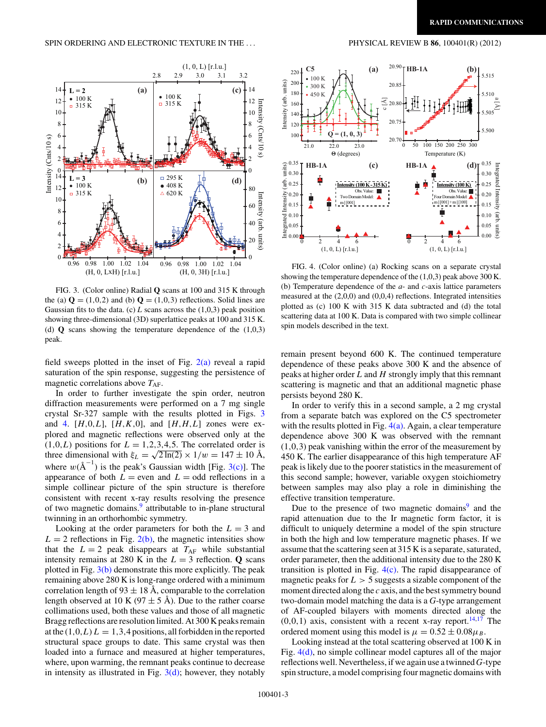<span id="page-3-0"></span>

FIG. 3. (Color online) Radial **Q** scans at 100 and 315 K through the (a)  $\mathbf{Q} = (1,0,2)$  and (b)  $\mathbf{Q} = (1,0,3)$  reflections. Solid lines are Gaussian fits to the data. (c)  $L$  scans across the  $(1,0,3)$  peak position showing three-dimensional (3D) superlattice peaks at 100 and 315 K. (d) **Q** scans showing the temperature dependence of the (1,0,3) peak.

field sweeps plotted in the inset of Fig.  $2(a)$  reveal a rapid saturation of the spin response, suggesting the persistence of magnetic correlations above  $T_{\rm AF}$ .

In order to further investigate the spin order, neutron diffraction measurements were performed on a 7 mg single crystal Sr-327 sample with the results plotted in Figs. 3 and 4.  $[H,0,L]$ ,  $[H,K,0]$ , and  $[H,H,L]$  zones were explored and magnetic reflections were observed only at the  $(1,0,L)$  positions for  $L = 1,2,3,4,5$ . The correlated order is three dimensional with  $\xi_L = \sqrt{2 \ln(2)} \times 1/w = 147 \pm 10 \text{ Å}$ , where  $w(A^{-1})$  is the peak's Gaussian width [Fig. 3(c)]. The appearance of both  $L =$  even and  $L =$  odd reflections in a simple collinear picture of the spin structure is therefore consistent with recent x-ray results resolving the presence of two magnetic domains.<sup>9</sup> attributable to in-plane structural twinning in an orthorhombic symmetry.

Looking at the order parameters for both the  $L = 3$  and  $L = 2$  reflections in Fig. [2\(b\),](#page-2-0) the magnetic intensities show that the  $L = 2$  peak disappears at  $T_{AF}$  while substantial intensity remains at 280 K in the  $L = 3$  reflection. **Q** scans plotted in Fig.  $3(b)$  demonstrate this more explicitly. The peak remaining above 280 K is long-range ordered with a minimum correlation length of  $93 \pm 18$  Å, comparable to the correlation length observed at 10 K (97  $\pm$  5 Å). Due to the rather coarse collimations used, both these values and those of all magnetic Bragg reflections are resolution limited. At 300 K peaks remain at the  $(1,0,L) L = 1,3,4$  positions, all forbidden in the reported structural space groups to date. This same crystal was then loaded into a furnace and measured at higher temperatures, where, upon warming, the remnant peaks continue to decrease in intensity as illustrated in Fig.  $3(d)$ ; however, they notably



FIG. 4. (Color online) (a) Rocking scans on a separate crystal showing the temperature dependence of the (1,0,3) peak above 300 K. (b) Temperature dependence of the *a*- and *c*-axis lattice parameters measured at the (2,0,0) and (0,0,4) reflections. Integrated intensities plotted as (c) 100 K with 315 K data subtracted and (d) the total scattering data at 100 K. Data is compared with two simple collinear spin models described in the text.

 $(1, 0, L)$  [r.l.u.]

 $0.00$   $\frac{1}{2}$   $\frac{1}{4}$  6

0.10 0.05

 $(1, 0, L)$  [r.l.u.]

 $\frac{1}{0}$   $\frac{1}{2}$   $\frac{1}{4}$   $\frac{1}{6}$  0.00

0.10 0.05

(art (spitum)

remain present beyond 600 K. The continued temperature dependence of these peaks above 300 K and the absence of peaks at higher order *L* and *H* strongly imply that this remnant scattering is magnetic and that an additional magnetic phase persists beyond 280 K.

In order to verify this in a second sample, a 2 mg crystal from a separate batch was explored on the C5 spectrometer with the results plotted in Fig.  $4(a)$ . Again, a clear temperature dependence above 300 K was observed with the remnant (1*,*0*,*3) peak vanishing within the error of the measurement by 450 K. The earlier disappearance of this high temperature AF peak is likely due to the poorer statistics in the measurement of this second sample; however, variable oxygen stoichiometry between samples may also play a role in diminishing the effective transition temperature.

Due to the presence of two magnetic domains $9$  and the rapid attenuation due to the Ir magnetic form factor, it is difficult to uniquely determine a model of the spin structure in both the high and low temperature magnetic phases. If we assume that the scattering seen at 315 K is a separate, saturated, order parameter, then the additional intensity due to the 280 K transition is plotted in Fig.  $4(c)$ . The rapid disappearance of magnetic peaks for  $L > 5$  suggests a sizable component of the moment directed along the *c* axis, and the best symmetry bound two-domain model matching the data is a *G*-type arrangement of AF-coupled bilayers with moments directed along the  $(0,0,1)$  axis, consistent with a recent x-ray report.<sup>14,17</sup> The ordered moment using this model is  $\mu = 0.52 \pm 0.08 \mu_B$ .

Looking instead at the total scattering observed at 100 K in Fig. 4(d), no simple collinear model captures all of the major reflections well. Nevertheless, if we again use a twinned *G*-type spin structure, a model comprising four magnetic domains with